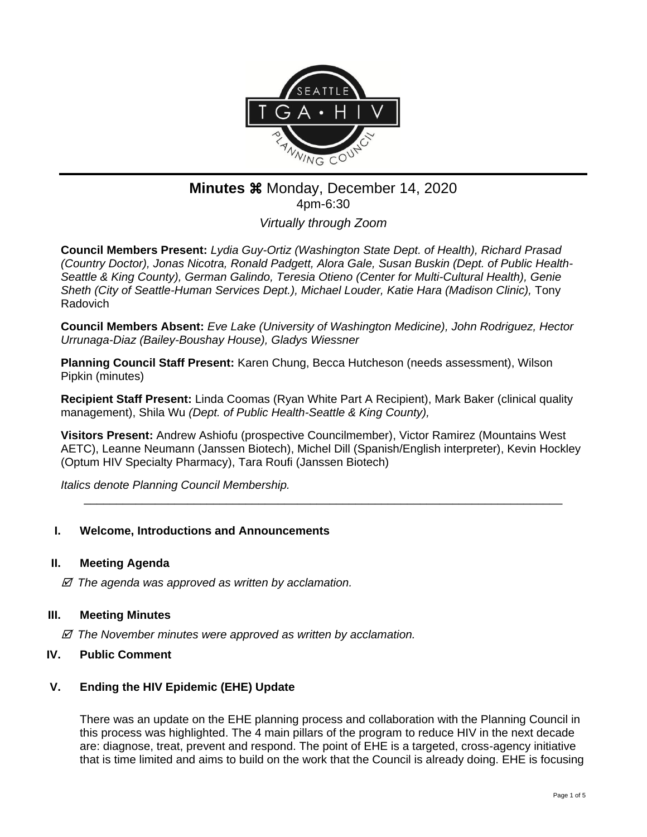

# **Minutes**  $\frac{20}{20}$  Monday, December 14, 2020 4pm-6:30

*Virtually through Zoom*

**Council Members Present:** *Lydia Guy-Ortiz (Washington State Dept. of Health), Richard Prasad (Country Doctor), Jonas Nicotra, Ronald Padgett, Alora Gale, Susan Buskin (Dept. of Public Health-Seattle & King County), German Galindo, Teresia Otieno (Center for Multi-Cultural Health), Genie Sheth (City of Seattle-Human Services Dept.), Michael Louder, Katie Hara (Madison Clinic),* Tony Radovich

**Council Members Absent:** *Eve Lake (University of Washington Medicine), John Rodriguez, Hector Urrunaga-Diaz (Bailey-Boushay House), Gladys Wiessner*

**Planning Council Staff Present:** Karen Chung, Becca Hutcheson (needs assessment), Wilson Pipkin (minutes)

**Recipient Staff Present:** Linda Coomas (Ryan White Part A Recipient), Mark Baker (clinical quality management), Shila Wu *(Dept. of Public Health-Seattle & King County),*

**Visitors Present:** Andrew Ashiofu (prospective Councilmember), Victor Ramirez (Mountains West AETC), Leanne Neumann (Janssen Biotech), Michel Dill (Spanish/English interpreter), Kevin Hockley (Optum HIV Specialty Pharmacy), Tara Roufi (Janssen Biotech)

\_\_\_\_\_\_\_\_\_\_\_\_\_\_\_\_\_\_\_\_\_\_\_\_\_\_\_\_\_\_\_\_\_\_\_\_\_\_\_\_\_\_\_\_\_\_\_\_\_\_\_\_\_\_\_\_\_\_\_\_\_\_\_\_\_\_\_\_\_\_\_\_\_\_

*Italics denote Planning Council Membership.* 

# **I. Welcome, Introductions and Announcements**

#### **II. Meeting Agenda**

 *The agenda was approved as written by acclamation.*

#### **III. Meeting Minutes**

 *The November minutes were approved as written by acclamation.*

#### **IV. Public Comment**

# **V. Ending the HIV Epidemic (EHE) Update**

There was an update on the EHE planning process and collaboration with the Planning Council in this process was highlighted. The 4 main pillars of the program to reduce HIV in the next decade are: diagnose, treat, prevent and respond. The point of EHE is a targeted, cross-agency initiative that is time limited and aims to build on the work that the Council is already doing. EHE is focusing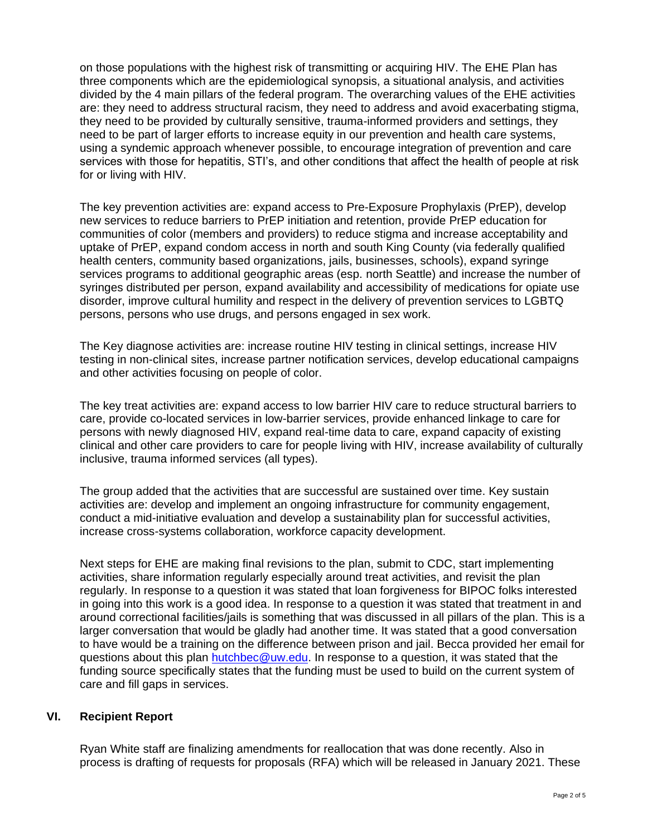on those populations with the highest risk of transmitting or acquiring HIV. The EHE Plan has three components which are the epidemiological synopsis, a situational analysis, and activities divided by the 4 main pillars of the federal program. The overarching values of the EHE activities are: they need to address structural racism, they need to address and avoid exacerbating stigma, they need to be provided by culturally sensitive, trauma-informed providers and settings, they need to be part of larger efforts to increase equity in our prevention and health care systems, using a syndemic approach whenever possible, to encourage integration of prevention and care services with those for hepatitis, STI's, and other conditions that affect the health of people at risk for or living with HIV.

The key prevention activities are: expand access to Pre-Exposure Prophylaxis (PrEP), develop new services to reduce barriers to PrEP initiation and retention, provide PrEP education for communities of color (members and providers) to reduce stigma and increase acceptability and uptake of PrEP, expand condom access in north and south King County (via federally qualified health centers, community based organizations, jails, businesses, schools), expand syringe services programs to additional geographic areas (esp. north Seattle) and increase the number of syringes distributed per person, expand availability and accessibility of medications for opiate use disorder, improve cultural humility and respect in the delivery of prevention services to LGBTQ persons, persons who use drugs, and persons engaged in sex work.

The Key diagnose activities are: increase routine HIV testing in clinical settings, increase HIV testing in non-clinical sites, increase partner notification services, develop educational campaigns and other activities focusing on people of color.

The key treat activities are: expand access to low barrier HIV care to reduce structural barriers to care, provide co-located services in low-barrier services, provide enhanced linkage to care for persons with newly diagnosed HIV, expand real-time data to care, expand capacity of existing clinical and other care providers to care for people living with HIV, increase availability of culturally inclusive, trauma informed services (all types).

The group added that the activities that are successful are sustained over time. Key sustain activities are: develop and implement an ongoing infrastructure for community engagement, conduct a mid-initiative evaluation and develop a sustainability plan for successful activities, increase cross-systems collaboration, workforce capacity development.

Next steps for EHE are making final revisions to the plan, submit to CDC, start implementing activities, share information regularly especially around treat activities, and revisit the plan regularly. In response to a question it was stated that loan forgiveness for BIPOC folks interested in going into this work is a good idea. In response to a question it was stated that treatment in and around correctional facilities/jails is something that was discussed in all pillars of the plan. This is a larger conversation that would be gladly had another time. It was stated that a good conversation to have would be a training on the difference between prison and jail. Becca provided her email for questions about this plan [hutchbec@uw.edu.](mailto:hutchbec@uw.edu) In response to a question, it was stated that the funding source specifically states that the funding must be used to build on the current system of care and fill gaps in services.

# **VI. Recipient Report**

Ryan White staff are finalizing amendments for reallocation that was done recently. Also in process is drafting of requests for proposals (RFA) which will be released in January 2021. These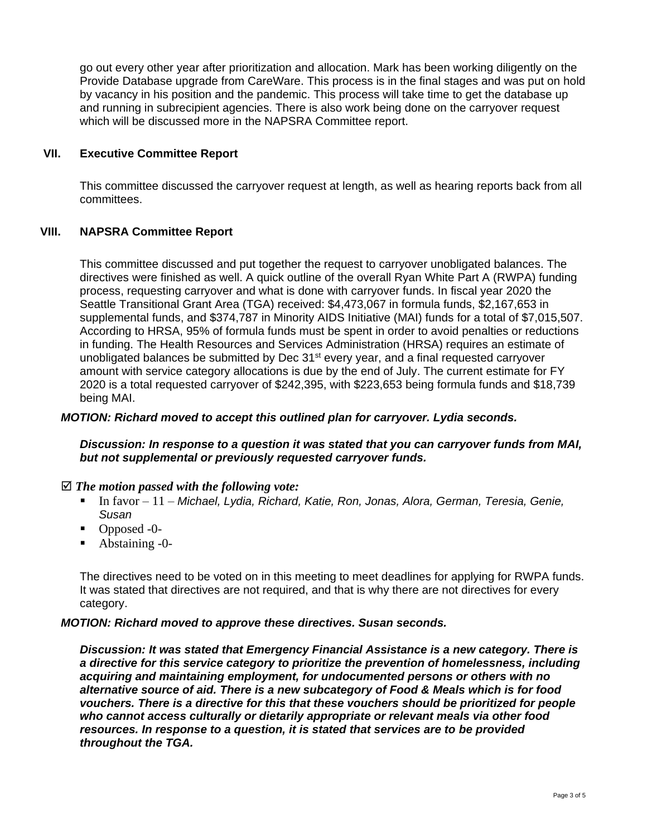go out every other year after prioritization and allocation. Mark has been working diligently on the Provide Database upgrade from CareWare. This process is in the final stages and was put on hold by vacancy in his position and the pandemic. This process will take time to get the database up and running in subrecipient agencies. There is also work being done on the carryover request which will be discussed more in the NAPSRA Committee report.

# **VII. Executive Committee Report**

This committee discussed the carryover request at length, as well as hearing reports back from all committees.

# **VIII. NAPSRA Committee Report**

This committee discussed and put together the request to carryover unobligated balances. The directives were finished as well. A quick outline of the overall Ryan White Part A (RWPA) funding process, requesting carryover and what is done with carryover funds. In fiscal year 2020 the Seattle Transitional Grant Area (TGA) received: \$4,473,067 in formula funds, \$2,167,653 in supplemental funds, and \$374,787 in Minority AIDS Initiative (MAI) funds for a total of \$7,015,507. According to HRSA, 95% of formula funds must be spent in order to avoid penalties or reductions in funding. The Health Resources and Services Administration (HRSA) requires an estimate of unobligated balances be submitted by Dec 31<sup>st</sup> every year, and a final requested carryover amount with service category allocations is due by the end of July. The current estimate for FY 2020 is a total requested carryover of \$242,395, with \$223,653 being formula funds and \$18,739 being MAI.

#### *MOTION: Richard moved to accept this outlined plan for carryover. Lydia seconds.*

#### *Discussion: In response to a question it was stated that you can carryover funds from MAI, but not supplemental or previously requested carryover funds.*

# *The motion passed with the following vote:*

- In favor 11 *Michael, Lydia, Richard, Katie, Ron, Jonas, Alora, German, Teresia, Genie, Susan*
- Opposed -0-
- Abstaining -0-

The directives need to be voted on in this meeting to meet deadlines for applying for RWPA funds. It was stated that directives are not required, and that is why there are not directives for every category.

# *MOTION: Richard moved to approve these directives. Susan seconds.*

*Discussion: It was stated that Emergency Financial Assistance is a new category. There is a directive for this service category to prioritize the prevention of homelessness, including acquiring and maintaining employment, for undocumented persons or others with no alternative source of aid. There is a new subcategory of Food & Meals which is for food vouchers. There is a directive for this that these vouchers should be prioritized for people who cannot access culturally or dietarily appropriate or relevant meals via other food resources. In response to a question, it is stated that services are to be provided throughout the TGA.*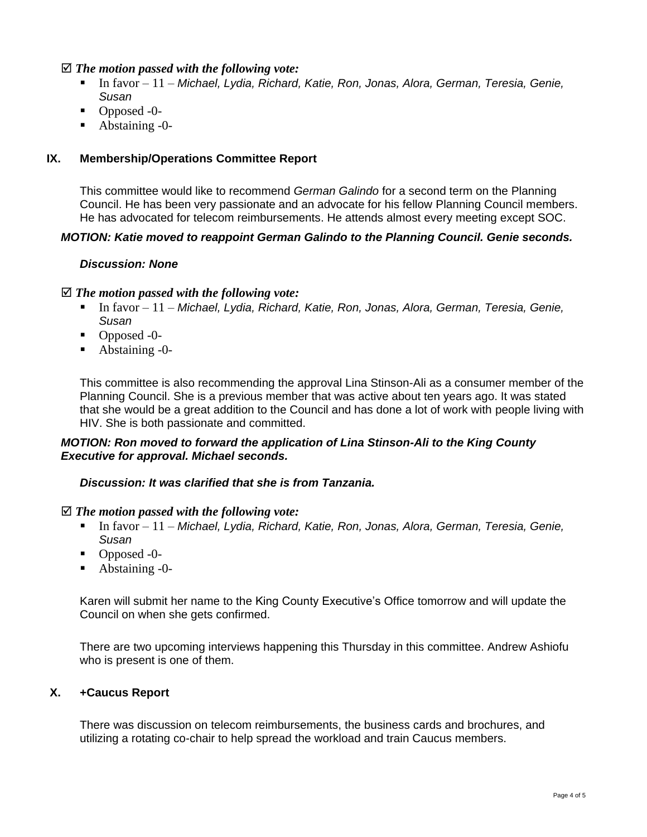#### *The motion passed with the following vote:*

- In favor 11 *Michael, Lydia, Richard, Katie, Ron, Jonas, Alora, German, Teresia, Genie, Susan*
- Opposed -0-
- Abstaining -0-

# **IX. Membership/Operations Committee Report**

This committee would like to recommend *German Galindo* for a second term on the Planning Council. He has been very passionate and an advocate for his fellow Planning Council members. He has advocated for telecom reimbursements. He attends almost every meeting except SOC.

# *MOTION: Katie moved to reappoint German Galindo to the Planning Council. Genie seconds.*

# *Discussion: None*

# *The motion passed with the following vote:*

- In favor 11 Michael, Lydia, Richard, Katie, Ron, Jonas, Alora, German, Teresia, Genie, *Susan*
- Opposed -0-
- Abstaining -0-

This committee is also recommending the approval Lina Stinson-Ali as a consumer member of the Planning Council. She is a previous member that was active about ten years ago. It was stated that she would be a great addition to the Council and has done a lot of work with people living with HIV. She is both passionate and committed.

# *MOTION: Ron moved to forward the application of Lina Stinson-Ali to the King County Executive for approval. Michael seconds.*

# *Discussion: It was clarified that she is from Tanzania.*

#### *The motion passed with the following vote:*

- In favor 11 *Michael, Lydia, Richard, Katie, Ron, Jonas, Alora, German, Teresia, Genie, Susan*
- Opposed -0-
- Abstaining -0-

Karen will submit her name to the King County Executive's Office tomorrow and will update the Council on when she gets confirmed.

There are two upcoming interviews happening this Thursday in this committee. Andrew Ashiofu who is present is one of them.

# **X. +Caucus Report**

There was discussion on telecom reimbursements, the business cards and brochures, and utilizing a rotating co-chair to help spread the workload and train Caucus members.